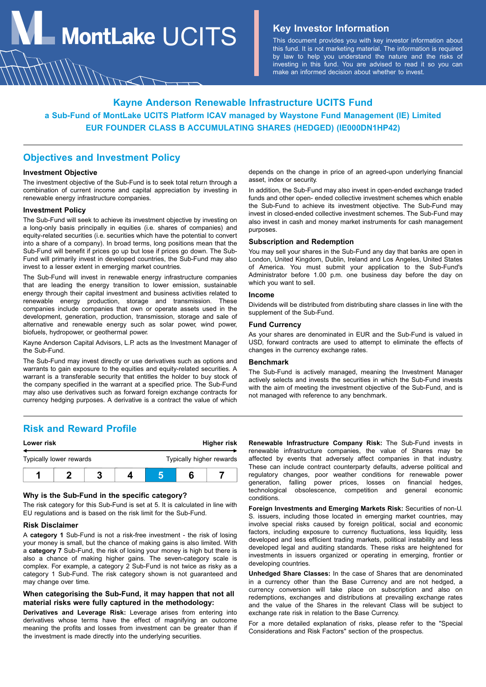**MontLake**  $UCITS$  **Key Investor Information** 

This document provides you with key investor information about this fund. It is not marketing material. The information is required by law to help you understand the nature and the risks of investing in this fund. You are advised to read it so you can make an informed decision about whether to invest.

# **Kayne Anderson Renewable Infrastructure UCITS Fund a Sub-Fund of MontLake UCITS Platform ICAV managed by Waystone Fund Management (IE) Limited EUR FOUNDER CLASS B ACCUMULATING SHARES (HEDGED) (IE000DN1HP42)**

### **Objectives and Investment Policy**

#### **Investment Objective**

The investment objective of the Sub-Fund is to seek total return through a combination of current income and capital appreciation by investing in renewable energy infrastructure companies.

#### **Investment Policy**

The Sub-Fund will seek to achieve its investment objective by investing on a long-only basis principally in equities (i.e. shares of companies) and equity-related securities (i.e. securities which have the potential to convert into a share of a company). In broad terms, long positions mean that the Sub-Fund will benefit if prices go up but lose if prices go down. The Sub-Fund will primarily invest in developed countries, the Sub-Fund may also invest to a lesser extent in emerging market countries.

The Sub-Fund will invest in renewable energy infrastructure companies that are leading the energy transition to lower emission, sustainable energy through their capital investment and business activities related to renewable energy production, storage and transmission. These companies include companies that own or operate assets used in the development, generation, production, transmission, storage and sale of alternative and renewable energy such as solar power, wind power, biofuels, hydropower, or geothermal power.

Kayne Anderson Capital Advisors, L.P. acts as the Investment Manager of the Sub-Fund.

The Sub-Fund may invest directly or use derivatives such as options and warrants to gain exposure to the equities and equity-related securities. A warrant is a transferable security that entitles the holder to buy stock of the company specified in the warrant at a specified price. The Sub-Fund may also use derivatives such as forward foreign exchange contracts for currency hedging purposes. A derivative is a contract the value of which

**Risk and Reward Profile**

| Lower risk              |  |  | Higher risk |                          |  |  |
|-------------------------|--|--|-------------|--------------------------|--|--|
| Typically lower rewards |  |  |             | Typically higher rewards |  |  |
|                         |  |  |             |                          |  |  |

### **Why is the Sub-Fund in the specific category?**

The risk category for this Sub-Fund is set at 5. It is calculated in line with EU regulations and is based on the risk limit for the Sub-Fund.

#### **Risk Disclaimer**

A **category 1** Sub-Fund is not a risk-free investment - the risk of losing your money is small, but the chance of making gains is also limited. With a **category 7** Sub-Fund, the risk of losing your money is high but there is also a chance of making higher gains. The seven-category scale is complex. For example, a category 2 Sub-Fund is not twice as risky as a category 1 Sub-Fund. The risk category shown is not guaranteed and may change over time.

### **When categorising the Sub-Fund, it may happen that not all material risks were fully captured in the methodology:**

**Derivatives and Leverage Risk:** Leverage arises from entering into derivatives whose terms have the effect of magnifying an outcome meaning the profits and losses from investment can be greater than if the investment is made directly into the underlying securities.

depends on the change in price of an agreed-upon underlying financial asset, index or security.

In addition, the Sub-Fund may also invest in open-ended exchange traded funds and other open- ended collective investment schemes which enable the Sub-Fund to achieve its investment objective. The Sub-Fund may invest in closed-ended collective investment schemes. The Sub-Fund may also invest in cash and money market instruments for cash management purposes.

#### **Subscription and Redemption**

You may sell your shares in the Sub-Fund any day that banks are open in London, United Kingdom, Dublin, Ireland and Los Angeles, United States of America. You must submit your application to the Sub-Fund's Administrator before 1.00 p.m. one business day before the day on which you want to sell.

#### **Income**

Dividends will be distributed from distributing share classes in line with the supplement of the Sub-Fund.

### **Fund Currency**

As your shares are denominated in EUR and the Sub-Fund is valued in USD, forward contracts are used to attempt to eliminate the effects of changes in the currency exchange rates.

#### **Benchmark**

The Sub-Fund is actively managed, meaning the Investment Manager actively selects and invests the securities in which the Sub-Fund invests with the aim of meeting the investment objective of the Sub-Fund, and is not managed with reference to any benchmark.

**Renewable Infrastructure Company Risk:** The Sub-Fund invests in renewable infrastructure companies, the value of Shares may be affected by events that adversely affect companies in that industry. These can include contract counterparty defaults, adverse political and regulatory changes, poor weather conditions for renewable power generation, falling power prices, losses on financial hedges, technological obsolescence, competition and general economic conditions.

**Foreign Investments and Emerging Markets Risk:** Securities of non-U. S. issuers, including those located in emerging market countries, may involve special risks caused by foreign political, social and economic factors, including exposure to currency fluctuations, less liquidity, less developed and less efficient trading markets, political instability and less developed legal and auditing standards. These risks are heightened for investments in issuers organized or operating in emerging, frontier or developing countries.

**Unhedged Share Classes:** In the case of Shares that are denominated in a currency other than the Base Currency and are not hedged, a currency conversion will take place on subscription and also on redemptions, exchanges and distributions at prevailing exchange rates and the value of the Shares in the relevant Class will be subject to exchange rate risk in relation to the Base Currency.

For a more detailed explanation of risks, please refer to the "Special Considerations and Risk Factors" section of the prospectus.